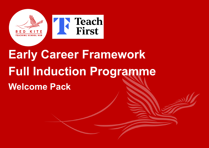

# **Early Career Framework Full Induction Programme Welcome Pack**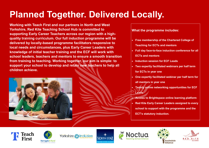## **Planned Together. Delivered Locally.**

**Working with Teach First and our partners in North and West Yorkshire, Red Kite Teaching School Hub is committed to supporting Early Career Teachers across our region with a highquality training curriculum. Our full induction programme will be delivered by locally-based programme facilitators responsive to local needs and circumstances, plus Early Career Leaders with knowledge of initial teacher training and the ECF will work with school leaders, teachers and mentors to ensure a smooth transition from training to teaching. Working together, our aim is simple: to support your school to develop and retain new teachers to help all children achieve.** 



#### **What the programme includes:**

- **Free membership of the Chartered College of**
- **Teaching for ECTs and mentors**
- **Full day face-to-face induction conference for all** 
	- **ECTs and mentors**
- **Induction session for ECF Leads**
- **Two expertly facilitated webinars per half term** 
	- **for ECTs in year one**
- **One expertly facilitated webinar per half term for all mentors in year one**
- **Termly online networking opportunities for ECF Leads**
- **Access to Brightspace online learning platform** • **Red Kite Early Career Leaders assigned to every school to support with the programme and the ECT's statutory induction.**





Yorkshire inclusive







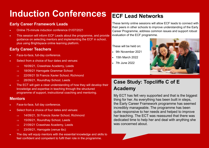## **Induction Conferences**

### **Early Career Framework Leads**

- Online 75-minute induction conference 01/07/2021
- This session will inform ECF Leads about the programme, and provide guidance on selecting mentors and implementing the ECF in school, plus using Brightspace online learning platform.

#### **Early Career Teachers**

- Face-to-face, full-day conference.
- Select from a choice of four dates and venues:
	- $\Rightarrow$  16/09/21, Crawshaw Academy, Leeds
	- $\Rightarrow$  18/09/21 Harrogate Grammar School
	- $\Rightarrow$  22/09/21 St Francis Xavier School, Richmond
	- $\Rightarrow$  28/09/21, Roundhay School, Leeds
- The ECT will gain a clear understanding of how they will develop their knowledge and expertise in teaching through the structured programme of support, instructional coaching and mentoring.

#### **Mentors**

- Face-to-face, full day conference.
- Select from a choice of four dates and venues:
	- $\Rightarrow$  14/09/21, St Francis Xavier School, Richmond
	- $\Rightarrow$  15/09/21, Roundhay School, Leeds
	- $\Rightarrow$  21/09/21 Crawshaw Academy, Leeds
	- $\Rightarrow$  23/09/21, Harrogate (venue tbc)
- The day will equip mentors with the essential knowledge and skills to feel confident and competent to fulfil their role in the programme.

## **ECF Lead Networks**

These termly online sessions will allow ECF leads to connect with their peers in other schools to improve understanding of the Early Career Programme, address common issues and support robust evaluation of the ECF programme.

These will be held on:

- 9th November 2021
- 15th March 2022
- 7th June 2022



## **Case Study: Topcliffe C of E Academy**

My ECT has felt very supported and that is the biggest thing for her. As everything has been built in steps, the Early Career Framework programme has seemed incredibly manageable. The programme has been quite responsive to her needs and helped to improve her teaching. The ECT was reassured that there was dedicated time to help her and deal with anything she was concerned about.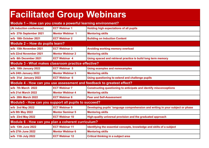## **Facilitated Group Webinars**

| Module 1 - How can you create a powerful learning environment?         |                         |                                                                                |  |
|------------------------------------------------------------------------|-------------------------|--------------------------------------------------------------------------------|--|
| (At induction conference)                                              | <b>ECT Webinar 1</b>    | <b>Holding high expectations of all pupils</b>                                 |  |
| w/b 27th September 2021                                                | <b>Mentor Webinar 1</b> | <b>Mentoring skills</b>                                                        |  |
| w/b 18th October 2021                                                  | <b>ECT Webinar 2</b>    | <b>Building on Induction Content</b>                                           |  |
| Module 2 - How do pupils learn?                                        |                         |                                                                                |  |
| w/b 15th November 2021                                                 | <b>ECT Webinar 3</b>    | Avoiding working memory overload                                               |  |
| w/b 22nd November 2021                                                 | <b>Mentor Webinar 2</b> | <b>Mentoring skills</b>                                                        |  |
| w/b 6th December 2021                                                  | <b>ECT Webinar 4</b>    | Using spaced and retrieval practice is build long term memory                  |  |
| <b>Module 3 - What makes classroom practice effective?</b>             |                         |                                                                                |  |
| w/b 10th January 2022                                                  | <b>ECT Webinar 5</b>    | <b>Using examples and nonexamples</b>                                          |  |
| w/b 24th January 2022                                                  | <b>Mentor Webinar 3</b> | <b>Mentoring skills</b>                                                        |  |
| w/b 31st January 2022                                                  | <b>ECT Webinar 6</b>    | Using questioning to extend and challenge pupils                               |  |
| Module 4 - How can you use assessment and feedback to greatest effect? |                         |                                                                                |  |
| w/b 7th March 2022                                                     | <b>ECT Webinar 7</b>    | Constructing questioning to anticipate and identify misconceptions             |  |
| <b>w/b 21st March 2022</b>                                             | <b>Mentor Webinar 4</b> | <b>Mentoring skills</b>                                                        |  |
| w/b 28th March 2022                                                    | <b>ECT Webinar 8</b>    | <b>Peer and Self-Assessment</b>                                                |  |
| Module5 - How can you support all pupils to succeed?                   |                         |                                                                                |  |
| w/b 2nd May 2022                                                       | <b>ECT Webinar 9</b>    | Developing pupils' language comprehension and writing in your subject or phase |  |
| w/b 9th May 2022                                                       | <b>Mentor Seminar 5</b> | <b>Mentoring skills</b>                                                        |  |
| w/b 23rd May 2022                                                      | <b>ECT Webinar 10</b>   | High-quality universal provision and the graduated approach                    |  |
| Module 6 - How can you plan a coherent curriculum?                     |                         |                                                                                |  |
| w/b 13th June 2022                                                     | <b>ECT Webinar 11</b>   | Identifying the essential concepts, knowledge and skills of a subject          |  |
| w/b 27th June 2022                                                     | <b>Mentor Webinar 6</b> | <b>Mentoring skills</b>                                                        |  |
| w/b 11th July 2022                                                     | <b>ECT Webinar 12</b>   | <b>Critical thinking in a subject area</b>                                     |  |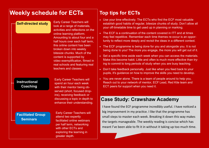## **Weekly schedule for ECTs**

| <b>Self-directed study</b> | <b>Early Career Teachers will</b><br>look at a range of materials,<br>activities and reflections on the |
|----------------------------|---------------------------------------------------------------------------------------------------------|
|                            | online learning platform.                                                                               |
|                            | Amounting to about four and a                                                                           |
|                            | half hours over each half term,                                                                         |
|                            | this online content has been                                                                            |
|                            | broken down into weekly                                                                                 |
|                            | bitesize chunks. Much of the                                                                            |
|                            | content is supported by                                                                                 |
|                            | video exemplification, filmed in                                                                        |
|                            | real schools and featuring real                                                                         |
|                            | teachers and classes.                                                                                   |

#### **Instructional Coaching**

Early Career Teachers will spend an hour each week with their mentor being observed (short, focused dropins), receiving feedback or discussing a topic in depth to enhance their understanding.

#### **Facilitated Group Seminars**

Early Career Teachers will attend two expertly facilitated online webinars per half term, networking with other ECTs and exploring the learning in greater depth.

## **Top tips for ECTs**

- Use your time effectively. The ECTs who find the ECF most valuable establish good habits of regular, bitesize chunks of study. Don't allow all your off-timetable time to get used up in planning or marking.
- The ECF is a continuation of the content covered in ITT and at times may feel repetitive. Remember each time themes re-occur is an opportunity to reflect more deeply and revisit the ideas in a different context.
- The ECF programme is being done for you and alongside you. It is not being done to you! The more you engage, the more you will get out of it.
- Set a specific time aside each week when you can access the materials. Make this become habit. Little and often is much more effective than trying to commit to long periods of study when you are busy teaching.
- Don't take feedback personally. Just like when you feed back to your pupils, it's guidance on how to improve the skills you need to develop.
- You are never alone. There is a team of people around to help you. Reach out to your network of mentor, ECF Lead, Red Kite team and ECT peers for support when you need it.

### **Case Study: Crawshaw Academy**

I have found the ECF programme incredibly useful. I have noticed a big improvement in my practice. I like that the programme has small steps to master each week. Breaking it down this way makes the targets manageable. The weekly reading is concise which has meant I've been able to fit it in without it taking up too much time.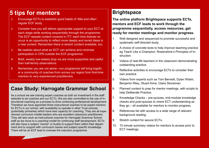## **5 tips for mentors**

- 1. Encourage ECTs to establish good habits of 'little and often', regular ECF study
- 2. Consider how you will deliver appropriate support to your ECT at each stage while working sequentially through the programme. The ECF repeats content covered in ITT; each time themes reoccur is an opportunity to reflect more deeply and revisit ideas in a new context. Remember there is stretch content available, too.
- 3. Be realistic about what an ECT can achieve and minimise participation in CPD outside the ECF programme.
- 4. Brief, weekly low-stakes drop ins are more supportive and useful than half-termly observations.
- 5. Remember you are not alone—our programme will bring together a community of coaches from across our region from first-time mentors to very experienced practitioners.

### **Case Study: Harrogate Grammar School**

As a school we see training expert coaches as both an investment in the staff selected to be coaches and our ECTs. We are also committed to the use of instructional coaching as a process to drive continuing professional development. Therefore we have appointed three instructional coaches to be expert mentors for ECTs in our school, with availability to operate in other Trust schools, (potentially primaries) which have less capacity for coaching. They are all experienced curriculum middle leaders who are excellent classroom practitioners. They will also work as instructional coaches for Harrogate Grammar School staff as we move to a coaching model for continuing staff development. ECTs will also have a subject 'mentor' or buddy to support them within their department and to support with curriculum issues and subject specific knowledge. There will be an ECF lead to oversee the induction programme.

## **Brightspace**

**The online platform Brightspace supports ECTs, mentors and ECF leads to work through the programme sequentially, access resources, get ready for mentor meetings and monitor progress.**

- 1. Well designed and sequenced to promote successful and systematic self-directed study.
- 2. A choice of concrete tools to help improve teaching practice eg Teach Like a Champion, Rosenshine's Principles of Instruction.
- 3. Videos of real-life teachers in the classroom demonstrating outstanding practice.
- 4. Reflective activities to encourage ECTs to consider their own practice.
- 5. Videos from experts such as Tom Bennett, Dylan Wilam, Benjamin Riley, Stuart Kime, Claire Stoneman.
- 6. Planned content to prep for mentor meetings, with scripts to help Deliberate Practice.
- 7. Knowledge Checks pre-quizzes, mid-module knowledge checks and post-quizzes to check ECT understanding as they go – all available for mentors to monitor progress.
- 8. References list with access to a wide range of relevant background reading.
- 9. Stretch content for secure ECTs.
- 10. 10 minute summary videos for mentors to access prior to ECT meetings.